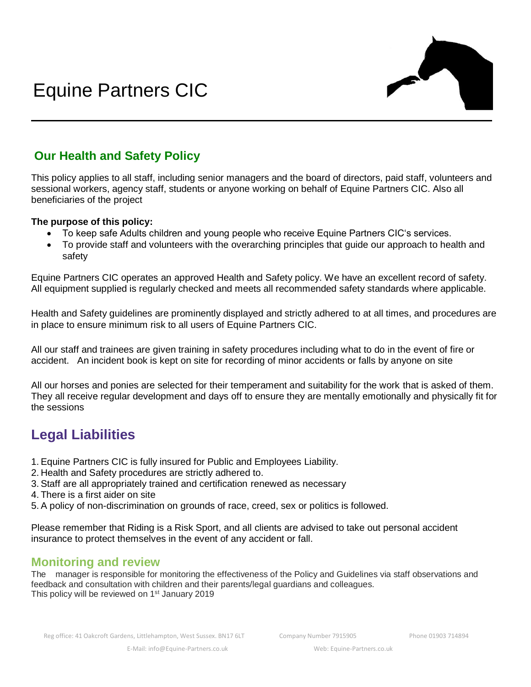

## **Our Health and Safety Policy**

This policy applies to all staff, including senior managers and the board of directors, paid staff, volunteers and sessional workers, agency staff, students or anyone working on behalf of Equine Partners CIC. Also all beneficiaries of the project

## **The purpose of this policy:**

- To keep safe Adults children and young people who receive Equine Partners CIC's services.
- To provide staff and volunteers with the overarching principles that guide our approach to health and safety

Equine Partners CIC operates an approved Health and Safety policy. We have an excellent record of safety. All equipment supplied is regularly checked and meets all recommended safety standards where applicable.

Health and Safety guidelines are prominently displayed and strictly adhered to at all times, and procedures are in place to ensure minimum risk to all users of Equine Partners CIC.

All our staff and trainees are given training in safety procedures including what to do in the event of fire or accident. An incident book is kept on site for recording of minor accidents or falls by anyone on site

All our horses and ponies are selected for their temperament and suitability for the work that is asked of them. They all receive regular development and days off to ensure they are mentally emotionally and physically fit for the sessions

## **Legal Liabilities**

- 1. Equine Partners CIC is fully insured for Public and Employees Liability.
- 2. Health and Safety procedures are strictly adhered to.
- 3. Staff are all appropriately trained and certification renewed as necessary
- 4. There is a first aider on site
- 5. A policy of non-discrimination on grounds of race, creed, sex or politics is followed.

Please remember that Riding is a Risk Sport, and all clients are advised to take out personal accident insurance to protect themselves in the event of any accident or fall.

## **Monitoring and review**

The manager is responsible for monitoring the effectiveness of the Policy and Guidelines via staff observations and feedback and consultation with children and their parents/legal guardians and colleagues. This policy will be reviewed on 1<sup>st</sup> January 2019